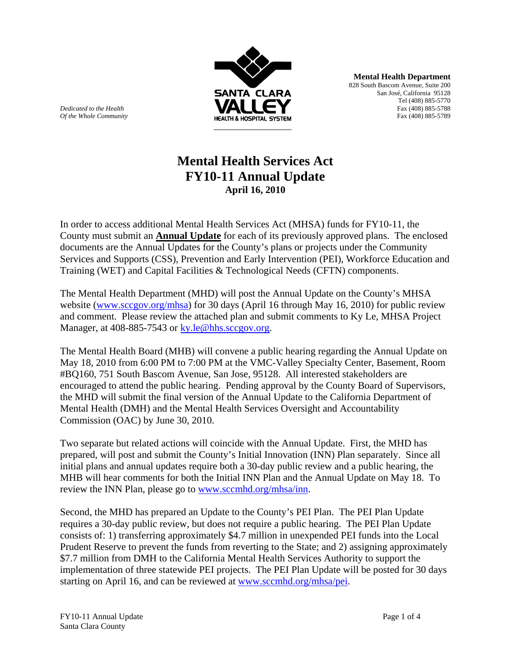

**Mental Health Department** 828 South Bascom Avenue, Suite 200 San José, California 95128 Tel (408) 885-5770 *Dedicated to the Health* Fax (408) 885-5788

# **Mental Health Services Act FY10-11 Annual Update April 16, 2010**

In order to access additional Mental Health Services Act (MHSA) funds for FY10-11, the County must submit an **Annual Update** for each of its previously approved plans. The enclosed documents are the Annual Updates for the County's plans or projects under the Community Services and Supports (CSS), Prevention and Early Intervention (PEI), Workforce Education and Training (WET) and Capital Facilities & Technological Needs (CFTN) components.

The Mental Health Department (MHD) will post the Annual Update on the County's MHSA website (www.sccgov.org/mhsa) for 30 days (April 16 through May 16, 2010) for public review and comment. Please review the attached plan and submit comments to Ky Le, MHSA Project Manager, at 408-885-7543 or ky.le@hhs.sccgov.org.

The Mental Health Board (MHB) will convene a public hearing regarding the Annual Update on May 18, 2010 from 6:00 PM to 7:00 PM at the VMC-Valley Specialty Center, Basement, Room #BQ160, 751 South Bascom Avenue, San Jose, 95128. All interested stakeholders are encouraged to attend the public hearing. Pending approval by the County Board of Supervisors, the MHD will submit the final version of the Annual Update to the California Department of Mental Health (DMH) and the Mental Health Services Oversight and Accountability Commission (OAC) by June 30, 2010.

Two separate but related actions will coincide with the Annual Update. First, the MHD has prepared, will post and submit the County's Initial Innovation (INN) Plan separately. Since all initial plans and annual updates require both a 30-day public review and a public hearing, the MHB will hear comments for both the Initial INN Plan and the Annual Update on May 18. To review the INN Plan, please go to www.sccmhd.org/mhsa/inn.

Second, the MHD has prepared an Update to the County's PEI Plan. The PEI Plan Update requires a 30-day public review, but does not require a public hearing. The PEI Plan Update consists of: 1) transferring approximately \$4.7 million in unexpended PEI funds into the Local Prudent Reserve to prevent the funds from reverting to the State; and 2) assigning approximately \$7.7 million from DMH to the California Mental Health Services Authority to support the implementation of three statewide PEI projects. The PEI Plan Update will be posted for 30 days starting on April 16, and can be reviewed at www.sccmhd.org/mhsa/pei.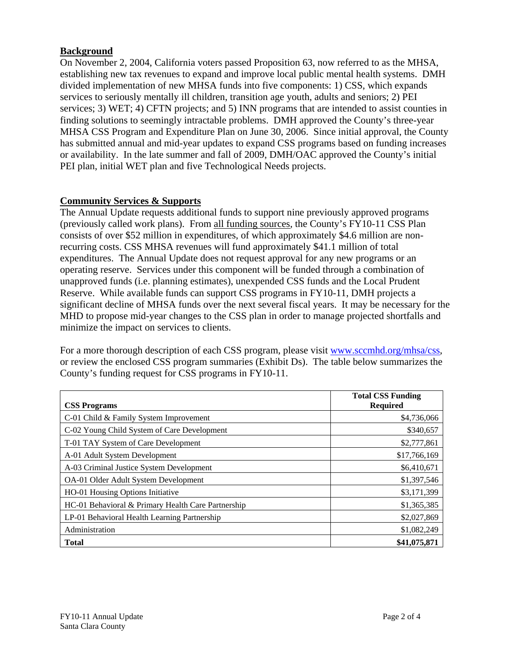## **Background**

On November 2, 2004, California voters passed Proposition 63, now referred to as the MHSA, establishing new tax revenues to expand and improve local public mental health systems. DMH divided implementation of new MHSA funds into five components: 1) CSS, which expands services to seriously mentally ill children, transition age youth, adults and seniors; 2) PEI services; 3) WET; 4) CFTN projects; and 5) INN programs that are intended to assist counties in finding solutions to seemingly intractable problems. DMH approved the County's three-year MHSA CSS Program and Expenditure Plan on June 30, 2006. Since initial approval, the County has submitted annual and mid-year updates to expand CSS programs based on funding increases or availability. In the late summer and fall of 2009, DMH/OAC approved the County's initial PEI plan, initial WET plan and five Technological Needs projects.

## **Community Services & Supports**

The Annual Update requests additional funds to support nine previously approved programs (previously called work plans). From all funding sources, the County's FY10-11 CSS Plan consists of over \$52 million in expenditures, of which approximately \$4.6 million are nonrecurring costs. CSS MHSA revenues will fund approximately \$41.1 million of total expenditures. The Annual Update does not request approval for any new programs or an operating reserve. Services under this component will be funded through a combination of unapproved funds (i.e. planning estimates), unexpended CSS funds and the Local Prudent Reserve. While available funds can support CSS programs in FY10-11, DMH projects a significant decline of MHSA funds over the next several fiscal years. It may be necessary for the MHD to propose mid-year changes to the CSS plan in order to manage projected shortfalls and minimize the impact on services to clients.

For a more thorough description of each CSS program, please visit www.sccmhd.org/mhsa/css, or review the enclosed CSS program summaries (Exhibit Ds). The table below summarizes the County's funding request for CSS programs in FY10-11.

|                                                    | <b>Total CSS Funding</b> |
|----------------------------------------------------|--------------------------|
| <b>CSS Programs</b>                                | <b>Required</b>          |
| C-01 Child & Family System Improvement             | \$4,736,066              |
| C-02 Young Child System of Care Development        | \$340,657                |
| T-01 TAY System of Care Development                | \$2,777,861              |
| A-01 Adult System Development                      | \$17,766,169             |
| A-03 Criminal Justice System Development           | \$6,410,671              |
| OA-01 Older Adult System Development               | \$1,397,546              |
| HO-01 Housing Options Initiative                   | \$3,171,399              |
| HC-01 Behavioral & Primary Health Care Partnership | \$1,365,385              |
| LP-01 Behavioral Health Learning Partnership       | \$2,027,869              |
| Administration                                     | \$1,082,249              |
| <b>Total</b>                                       | \$41,075,871             |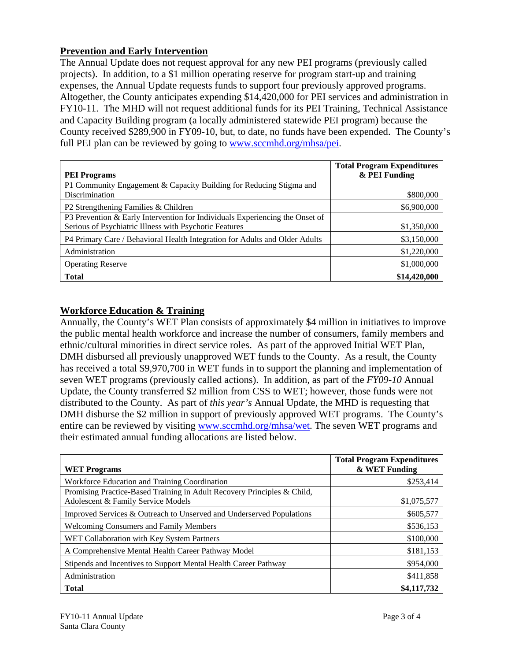## **Prevention and Early Intervention**

The Annual Update does not request approval for any new PEI programs (previously called projects). In addition, to a \$1 million operating reserve for program start-up and training expenses, the Annual Update requests funds to support four previously approved programs. Altogether, the County anticipates expending \$14,420,000 for PEI services and administration in FY10-11. The MHD will not request additional funds for its PEI Training, Technical Assistance and Capacity Building program (a locally administered statewide PEI program) because the County received \$289,900 in FY09-10, but, to date, no funds have been expended. The County's full PEI plan can be reviewed by going to www.sccmhd.org/mhsa/pei.

|                                                                              | <b>Total Program Expenditures</b><br>& PEI Funding |
|------------------------------------------------------------------------------|----------------------------------------------------|
| <b>PEI Programs</b>                                                          |                                                    |
| P1 Community Engagement & Capacity Building for Reducing Stigma and          |                                                    |
| Discrimination                                                               | \$800,000                                          |
| P2 Strengthening Families & Children                                         | \$6,900,000                                        |
| P3 Prevention & Early Intervention for Individuals Experiencing the Onset of |                                                    |
| Serious of Psychiatric Illness with Psychotic Features                       | \$1,350,000                                        |
| P4 Primary Care / Behavioral Health Integration for Adults and Older Adults  | \$3,150,000                                        |
| Administration                                                               | \$1,220,000                                        |
| <b>Operating Reserve</b>                                                     | \$1,000,000                                        |
| <b>Total</b>                                                                 | \$14,420,000                                       |

## **Workforce Education & Training**

Annually, the County's WET Plan consists of approximately \$4 million in initiatives to improve the public mental health workforce and increase the number of consumers, family members and ethnic/cultural minorities in direct service roles. As part of the approved Initial WET Plan, DMH disbursed all previously unapproved WET funds to the County. As a result, the County has received a total \$9,970,700 in WET funds in to support the planning and implementation of seven WET programs (previously called actions). In addition, as part of the *FY09-10* Annual Update, the County transferred \$2 million from CSS to WET; however, those funds were not distributed to the County. As part of *this year's* Annual Update, the MHD is requesting that DMH disburse the \$2 million in support of previously approved WET programs. The County's entire can be reviewed by visiting www.sccmhd.org/mhsa/wet. The seven WET programs and their estimated annual funding allocations are listed below.

| <b>WET Programs</b>                                                                                           | <b>Total Program Expenditures</b><br>& WET Funding |
|---------------------------------------------------------------------------------------------------------------|----------------------------------------------------|
| Workforce Education and Training Coordination                                                                 | \$253,414                                          |
| Promising Practice-Based Training in Adult Recovery Principles & Child,<br>Adolescent & Family Service Models | \$1,075,577                                        |
| Improved Services & Outreach to Unserved and Underserved Populations                                          | \$605,577                                          |
| <b>Welcoming Consumers and Family Members</b>                                                                 | \$536,153                                          |
| WET Collaboration with Key System Partners                                                                    | \$100,000                                          |
| A Comprehensive Mental Health Career Pathway Model                                                            | \$181,153                                          |
| Stipends and Incentives to Support Mental Health Career Pathway                                               | \$954,000                                          |
| Administration                                                                                                | \$411,858                                          |
| <b>Total</b>                                                                                                  | \$4,117,732                                        |